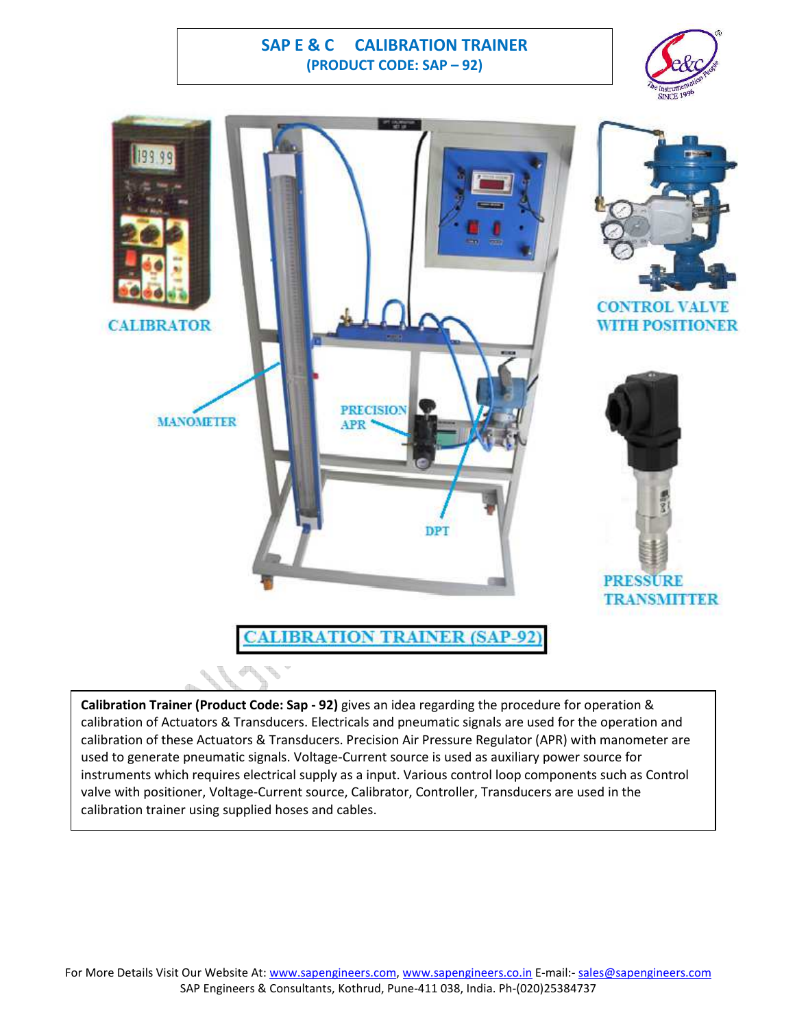## **SAP E & C CALIBRATION TRAINER (PRODUCT CODE: SAP – 92)**





**Calibration Trainer (Product Code: Sap - 92)** gives an idea regarding the procedure for operation & calibration of Actuators & Transducers. Electricals and pneumatic signals are used for the operation and calibration of these Actuators & Transducers. Precision Air Pressure Regulator (APR) with manometer are used to generate pneumatic signals. Voltage-Current source is used as auxiliary power source for instruments which requires electrical supply as a input. Various control loop components such as Control valve with positioner, Voltage-Current source, Calibrator, Controller, Transducers are used in the calibration trainer using supplied hoses and cables.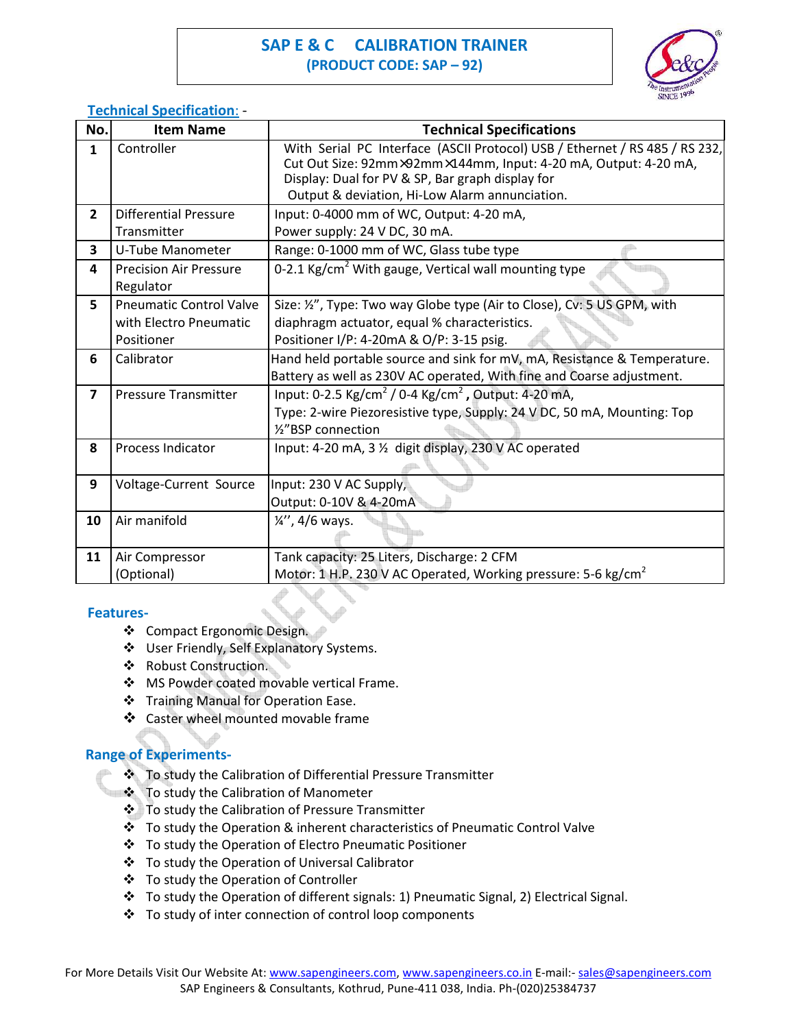# **SAP E & C CALIBRATION TRAINER (PRODUCT CODE: SAP – 92)**



## **Technical Specification**: -

| No.                     | <b>Item Name</b>               | <b>Technical Specifications</b>                                                                                                                                                                                                                      |
|-------------------------|--------------------------------|------------------------------------------------------------------------------------------------------------------------------------------------------------------------------------------------------------------------------------------------------|
| $\mathbf{1}$            | Controller                     | With Serial PC Interface (ASCII Protocol) USB / Ethernet / RS 485 / RS 232,<br>Cut Out Size: 92mm×92mm×144mm, Input: 4-20 mA, Output: 4-20 mA,<br>Display: Dual for PV & SP, Bar graph display for<br>Output & deviation, Hi-Low Alarm annunciation. |
| $\overline{2}$          | <b>Differential Pressure</b>   | Input: 0-4000 mm of WC, Output: 4-20 mA,                                                                                                                                                                                                             |
|                         | Transmitter                    | Power supply: 24 V DC, 30 mA.                                                                                                                                                                                                                        |
| 3                       | U-Tube Manometer               | Range: 0-1000 mm of WC, Glass tube type                                                                                                                                                                                                              |
| 4                       | <b>Precision Air Pressure</b>  | 0-2.1 Kg/cm <sup>2</sup> With gauge, Vertical wall mounting type                                                                                                                                                                                     |
|                         | Regulator                      |                                                                                                                                                                                                                                                      |
| 5                       | <b>Pneumatic Control Valve</b> | Size: 1/2", Type: Two way Globe type (Air to Close), Cv: 5 US GPM, with                                                                                                                                                                              |
|                         | with Electro Pneumatic         | diaphragm actuator, equal % characteristics.                                                                                                                                                                                                         |
|                         | Positioner                     | Positioner I/P: 4-20mA & O/P: 3-15 psig.                                                                                                                                                                                                             |
| 6                       | Calibrator                     | Hand held portable source and sink for mV, mA, Resistance & Temperature.                                                                                                                                                                             |
|                         |                                | Battery as well as 230V AC operated, With fine and Coarse adjustment.                                                                                                                                                                                |
| $\overline{\mathbf{z}}$ | <b>Pressure Transmitter</b>    | Input: 0-2.5 Kg/cm <sup>2</sup> / 0-4 Kg/cm <sup>2</sup> , Output: 4-20 mA,                                                                                                                                                                          |
|                         |                                | Type: 2-wire Piezoresistive type, Supply: 24 V DC, 50 mA, Mounting: Top                                                                                                                                                                              |
|                         |                                | 1/8 BSP connection                                                                                                                                                                                                                                   |
| 8                       | <b>Process Indicator</b>       | Input: 4-20 mA, 3 1/2 digit display, 230 V AC operated                                                                                                                                                                                               |
|                         |                                |                                                                                                                                                                                                                                                      |
| 9                       | <b>Voltage-Current Source</b>  | Input: 230 V AC Supply,                                                                                                                                                                                                                              |
|                         |                                | Output: 0-10V & 4-20mA                                                                                                                                                                                                                               |
| 10                      | Air manifold                   | $\frac{1}{4}$ , 4/6 ways.                                                                                                                                                                                                                            |
| 11                      | Air Compressor                 | Tank capacity: 25 Liters, Discharge: 2 CFM                                                                                                                                                                                                           |
|                         | (Optional)                     | Motor: 1 H.P. 230 V AC Operated, Working pressure: 5-6 kg/cm <sup>2</sup>                                                                                                                                                                            |

#### **Features-**

- ❖ Compact Ergonomic Design.
- User Friendly, Self Explanatory Systems.
- ❖ Robust Construction.
- ◆ MS Powder coated movable vertical Frame.
- Training Manual for Operation Ease.
- ❖ Caster wheel mounted movable frame

### **Range of Experiments-**

- \* To study the Calibration of Differential Pressure Transmitter
- $\div$  To study the Calibration of Manometer
	- To study the Calibration of Pressure Transmitter
	- \* To study the Operation & inherent characteristics of Pneumatic Control Valve
	- To study the Operation of Electro Pneumatic Positioner
	- To study the Operation of Universal Calibrator
	- To study the Operation of Controller
	- To study the Operation of different signals: 1) Pneumatic Signal, 2) Electrical Signal.
	- To study of inter connection of control loop components